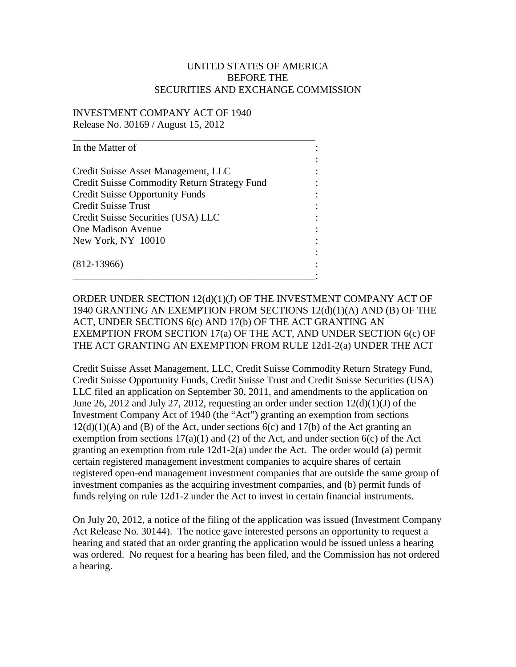## UNITED STATES OF AMERICA BEFORE THE SECURITIES AND EXCHANGE COMMISSION

## INVESTMENT COMPANY ACT OF 1940 Release No. 30169 / August 15, 2012

ORDER UNDER SECTION 12(d)(1)(J) OF THE INVESTMENT COMPANY ACT OF 1940 GRANTING AN EXEMPTION FROM SECTIONS 12(d)(1)(A) AND (B) OF THE ACT, UNDER SECTIONS 6(c) AND 17(b) OF THE ACT GRANTING AN EXEMPTION FROM SECTION 17(a) OF THE ACT, AND UNDER SECTION 6(c) OF THE ACT GRANTING AN EXEMPTION FROM RULE 12d1-2(a) UNDER THE ACT

Credit Suisse Asset Management, LLC, Credit Suisse Commodity Return Strategy Fund, Credit Suisse Opportunity Funds, Credit Suisse Trust and Credit Suisse Securities (USA) LLC filed an application on September 30, 2011, and amendments to the application on June 26, 2012 and July 27, 2012, requesting an order under section  $12(d)(1)(J)$  of the Investment Company Act of 1940 (the "Act") granting an exemption from sections  $12(d)(1)(A)$  and  $(B)$  of the Act, under sections  $6(c)$  and  $17(b)$  of the Act granting an exemption from sections  $17(a)(1)$  and (2) of the Act, and under section  $6(c)$  of the Act granting an exemption from rule 12d1-2(a) under the Act. The order would (a) permit certain registered management investment companies to acquire shares of certain registered open-end management investment companies that are outside the same group of investment companies as the acquiring investment companies, and (b) permit funds of funds relying on rule 12d1-2 under the Act to invest in certain financial instruments.

On July 20, 2012, a notice of the filing of the application was issued (Investment Company Act Release No. 30144). The notice gave interested persons an opportunity to request a hearing and stated that an order granting the application would be issued unless a hearing was ordered. No request for a hearing has been filed, and the Commission has not ordered a hearing.